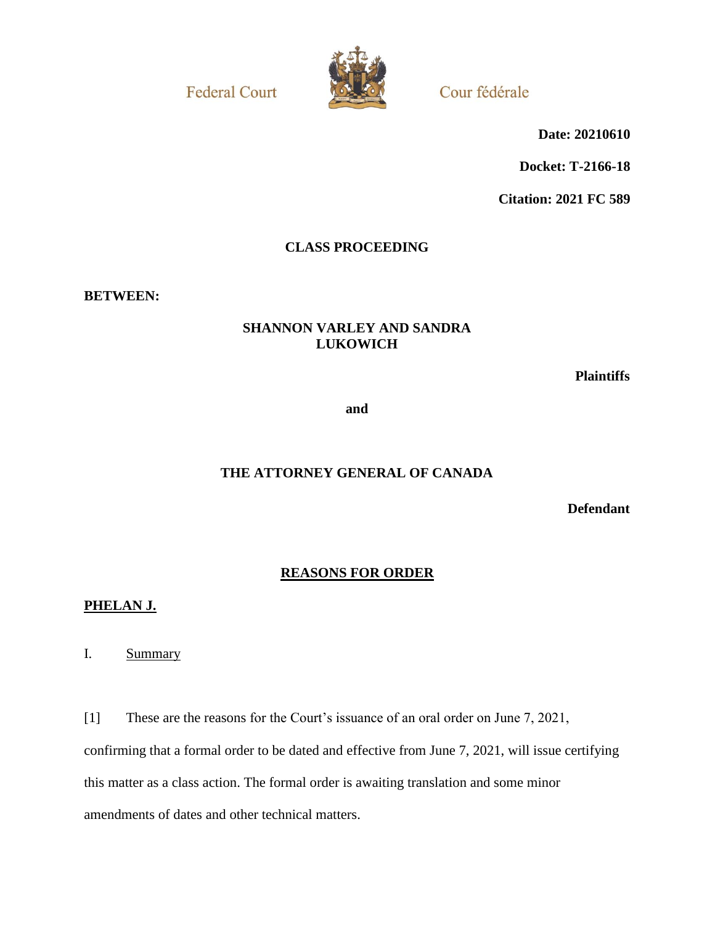**Federal Court** 



Cour fédérale

**Date: 20210610**

**Docket: T-2166-18**

**Citation: 2021 FC 589**

# **CLASS PROCEEDING**

**BETWEEN:**

## **SHANNON VARLEY AND SANDRA LUKOWICH**

**Plaintiffs**

**and**

## **THE ATTORNEY GENERAL OF CANADA**

**Defendant**

## **REASONS FOR ORDER**

### **PHELAN J.**

I. Summary

[1] These are the reasons for the Court's issuance of an oral order on June 7, 2021, confirming that a formal order to be dated and effective from June 7, 2021, will issue certifying this matter as a class action. The formal order is awaiting translation and some minor amendments of dates and other technical matters.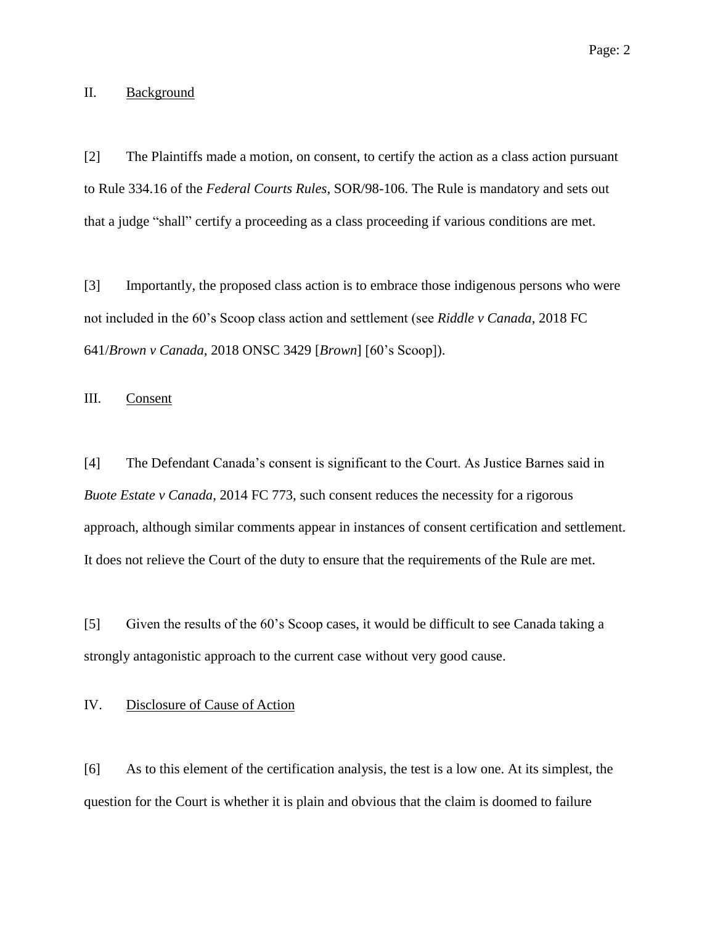[2] The Plaintiffs made a motion, on consent, to certify the action as a class action pursuant to Rule 334.16 of the *Federal Courts Rules*, SOR/98-106. The Rule is mandatory and sets out that a judge "shall" certify a proceeding as a class proceeding if various conditions are met.

[3] Importantly, the proposed class action is to embrace those indigenous persons who were not included in the 60's Scoop class action and settlement (see *Riddle v Canada*, 2018 FC 641/*Brown v Canada*, 2018 ONSC 3429 [*Brown*] [60's Scoop]).

III. Consent

[4] The Defendant Canada's consent is significant to the Court. As Justice Barnes said in *Buote Estate v Canada*, 2014 FC 773, such consent reduces the necessity for a rigorous approach, although similar comments appear in instances of consent certification and settlement. It does not relieve the Court of the duty to ensure that the requirements of the Rule are met.

[5] Given the results of the 60's Scoop cases, it would be difficult to see Canada taking a strongly antagonistic approach to the current case without very good cause.

#### IV. Disclosure of Cause of Action

[6] As to this element of the certification analysis, the test is a low one. At its simplest, the question for the Court is whether it is plain and obvious that the claim is doomed to failure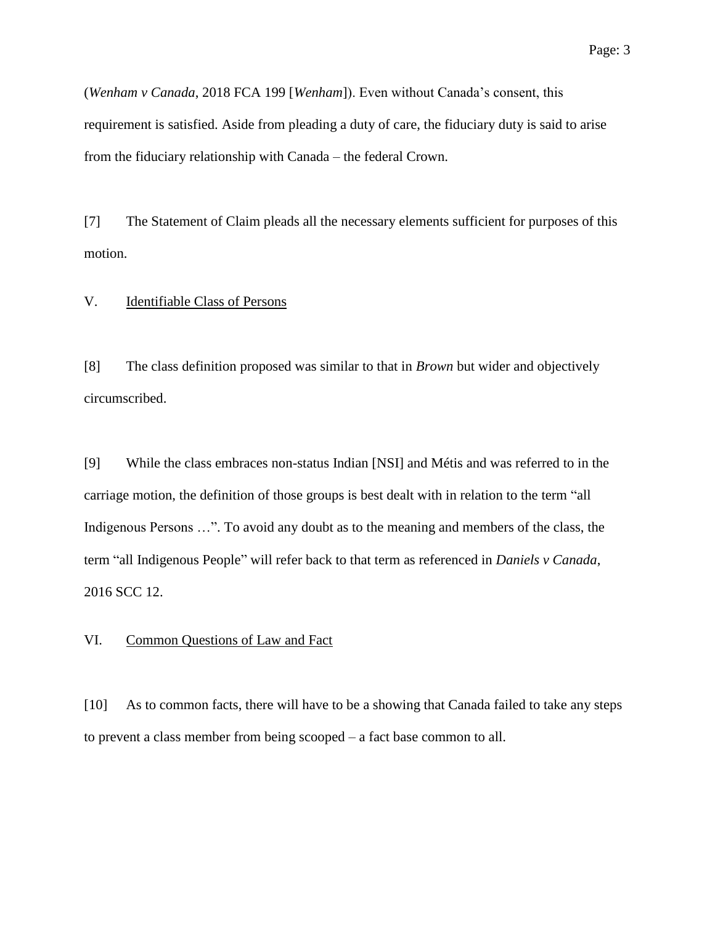(*Wenham v Canada*, 2018 FCA 199 [*Wenham*]). Even without Canada's consent, this requirement is satisfied. Aside from pleading a duty of care, the fiduciary duty is said to arise from the fiduciary relationship with Canada – the federal Crown.

[7] The Statement of Claim pleads all the necessary elements sufficient for purposes of this motion.

### V. Identifiable Class of Persons

[8] The class definition proposed was similar to that in *Brown* but wider and objectively circumscribed.

[9] While the class embraces non-status Indian [NSI] and Métis and was referred to in the carriage motion, the definition of those groups is best dealt with in relation to the term "all Indigenous Persons ...". To avoid any doubt as to the meaning and members of the class, the term "all Indigenous People" will refer back to that term as referenced in *Daniels v Canada*, 2016 SCC 12.

#### VI. Common Questions of Law and Fact

[10] As to common facts, there will have to be a showing that Canada failed to take any steps to prevent a class member from being scooped – a fact base common to all.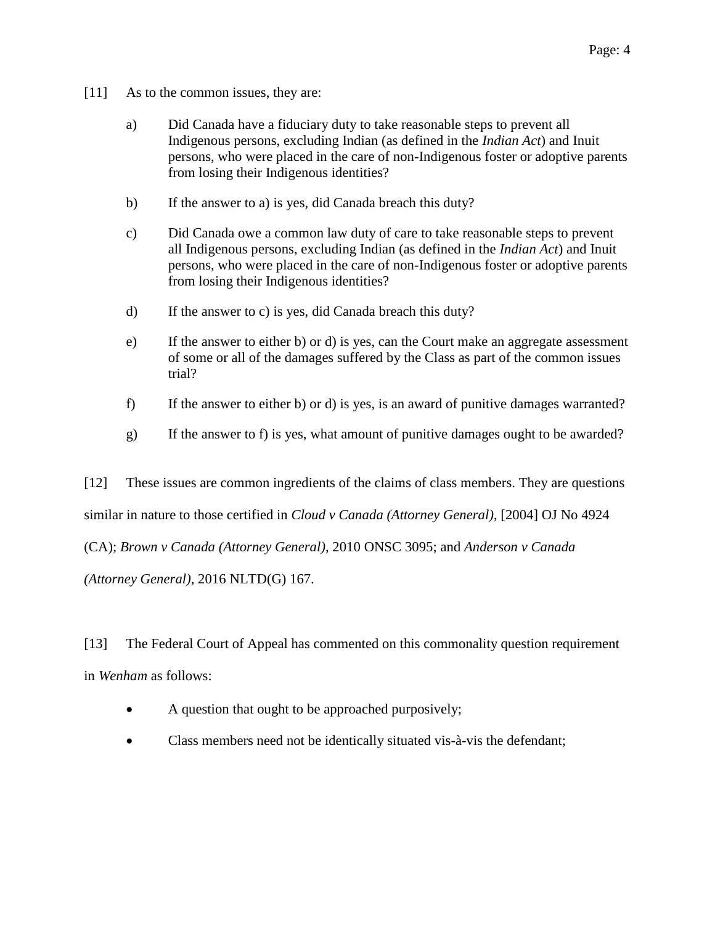- [11] As to the common issues, they are:
	- a) Did Canada have a fiduciary duty to take reasonable steps to prevent all Indigenous persons, excluding Indian (as defined in the *Indian Act*) and Inuit persons, who were placed in the care of non-Indigenous foster or adoptive parents from losing their Indigenous identities?
	- b) If the answer to a) is yes, did Canada breach this duty?
	- c) Did Canada owe a common law duty of care to take reasonable steps to prevent all Indigenous persons, excluding Indian (as defined in the *Indian Act*) and Inuit persons, who were placed in the care of non-Indigenous foster or adoptive parents from losing their Indigenous identities?
	- d) If the answer to c) is yes, did Canada breach this duty?
	- e) If the answer to either b) or d) is yes, can the Court make an aggregate assessment of some or all of the damages suffered by the Class as part of the common issues trial?
	- f) If the answer to either b) or d) is yes, is an award of punitive damages warranted?
	- g) If the answer to f) is yes, what amount of punitive damages ought to be awarded?

[12] These issues are common ingredients of the claims of class members. They are questions

similar in nature to those certified in *Cloud v Canada (Attorney General)*, [2004] OJ No 4924

(CA); *Brown v Canada (Attorney General)*, 2010 ONSC 3095; and *Anderson v Canada*

*(Attorney General)*, 2016 NLTD(G) 167.

[13] The Federal Court of Appeal has commented on this commonality question requirement in *Wenham* as follows:

- A question that ought to be approached purposively;
- Class members need not be identically situated vis-à-vis the defendant;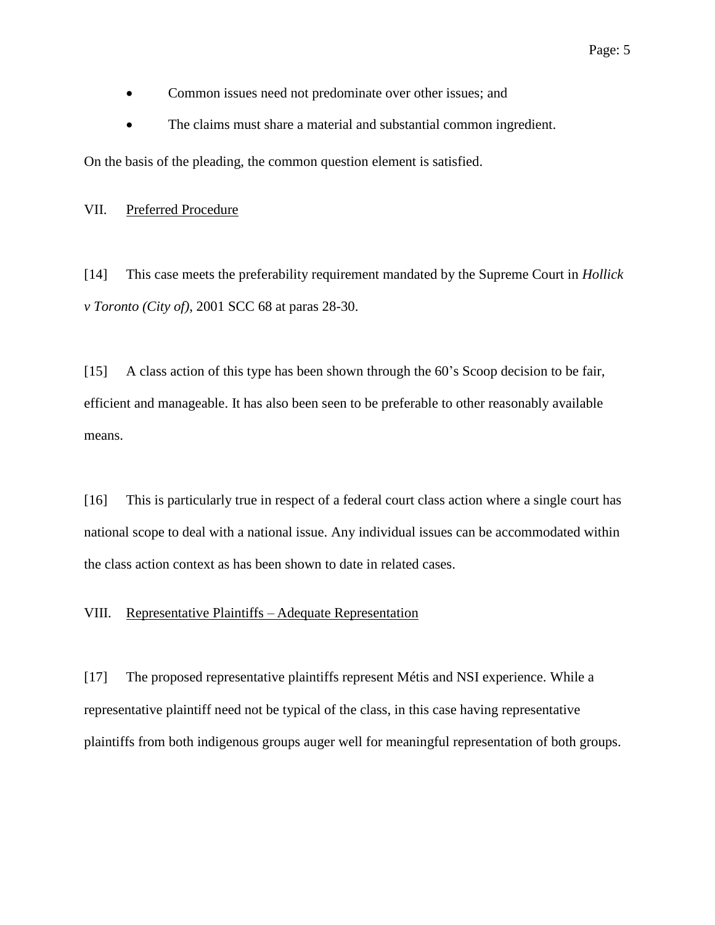- Common issues need not predominate over other issues; and
- The claims must share a material and substantial common ingredient.

On the basis of the pleading, the common question element is satisfied.

VII. Preferred Procedure

[14] This case meets the preferability requirement mandated by the Supreme Court in *Hollick v Toronto (City of)*, 2001 SCC 68 at paras 28-30.

[15] A class action of this type has been shown through the 60's Scoop decision to be fair, efficient and manageable. It has also been seen to be preferable to other reasonably available means.

[16] This is particularly true in respect of a federal court class action where a single court has national scope to deal with a national issue. Any individual issues can be accommodated within the class action context as has been shown to date in related cases.

#### VIII. Representative Plaintiffs – Adequate Representation

[17] The proposed representative plaintiffs represent Métis and NSI experience. While a representative plaintiff need not be typical of the class, in this case having representative plaintiffs from both indigenous groups auger well for meaningful representation of both groups.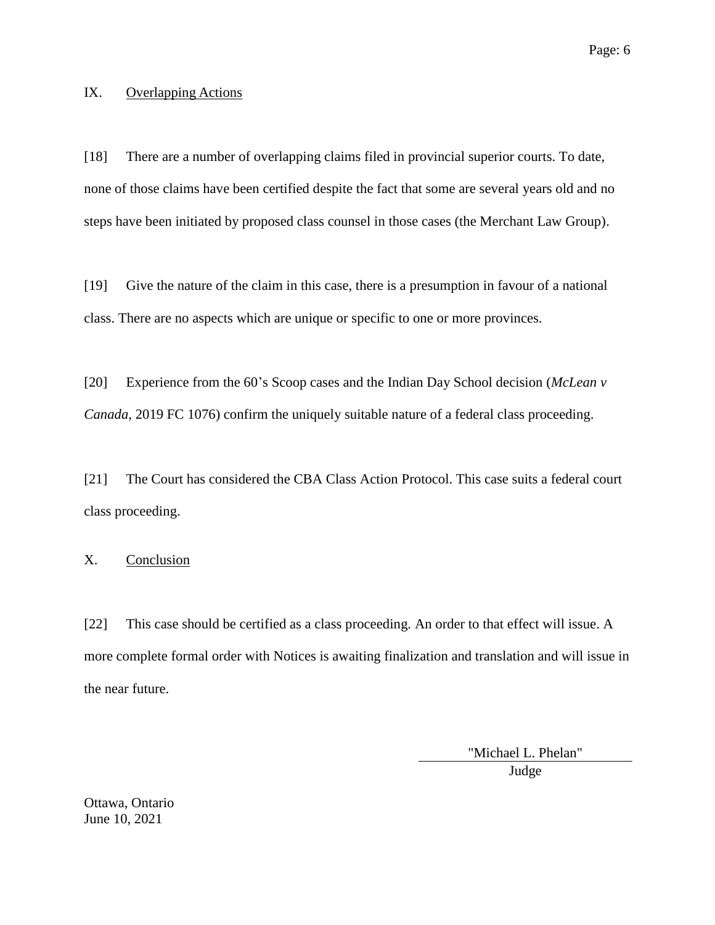### IX. Overlapping Actions

[18] There are a number of overlapping claims filed in provincial superior courts. To date, none of those claims have been certified despite the fact that some are several years old and no steps have been initiated by proposed class counsel in those cases (the Merchant Law Group).

[19] Give the nature of the claim in this case, there is a presumption in favour of a national class. There are no aspects which are unique or specific to one or more provinces.

[20] Experience from the 60's Scoop cases and the Indian Day School decision (*McLean v Canada*, 2019 FC 1076) confirm the uniquely suitable nature of a federal class proceeding.

[21] The Court has considered the CBA Class Action Protocol. This case suits a federal court class proceeding.

## X. Conclusion

[22] This case should be certified as a class proceeding. An order to that effect will issue. A more complete formal order with Notices is awaiting finalization and translation and will issue in the near future.

"Michael L. Phelan"

Judge

Ottawa, Ontario June 10, 2021